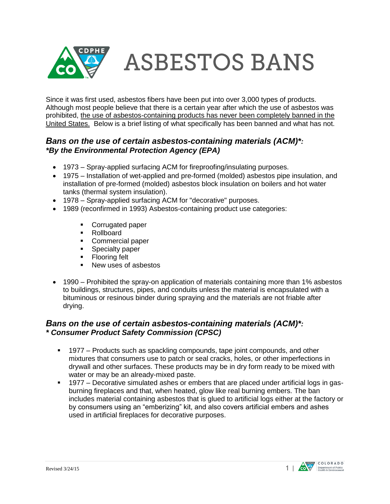

Since it was first used, asbestos fibers have been put into over 3,000 types of products. Although most people believe that there is a certain year after which the use of asbestos was prohibited, the use of asbestos-containing products has never been completely banned in the United States. Below is a brief listing of what specifically has been banned and what has not.

### *Bans on the use of certain asbestos-containing materials (ACM)\*: \*By the Environmental Protection Agency (EPA)*

- 1973 Spray-applied surfacing ACM for fireproofing/insulating purposes.
- 1975 Installation of wet-applied and pre-formed (molded) asbestos pipe insulation, and installation of pre-formed (molded) asbestos block insulation on boilers and hot water tanks (thermal system insulation).
- 1978 Spray-applied surfacing ACM for "decorative" purposes.
- 1989 (reconfirmed in 1993) Asbestos-containing product use categories:
	- Corrugated paper
	- **Rollboard**
	- **Commercial paper**<br>**Commercial paper**
	- Specialty paper
	- **Flooring felt**
	- **New uses of asbestos**
- 1990 Prohibited the spray-on application of materials containing more than 1% asbestos to buildings, structures, pipes, and conduits unless the material is encapsulated with a bituminous or resinous binder during spraying and the materials are not friable after drying.

#### *Bans on the use of certain asbestos-containing materials (ACM)\*: \* Consumer Product Safety Commission (CPSC)*

- 1977 Products such as spackling compounds, tape joint compounds, and other mixtures that consumers use to patch or seal cracks, holes, or other imperfections in drywall and other surfaces. These products may be in dry form ready to be mixed with water or may be an already-mixed paste.
- 1977 Decorative simulated ashes or embers that are placed under artificial logs in gasburning fireplaces and that, when heated, glow like real burning embers. The ban includes material containing asbestos that is glued to artificial logs either at the factory or by consumers using an "emberizing" kit, and also covers artificial embers and ashes used in artificial fireplaces for decorative purposes.